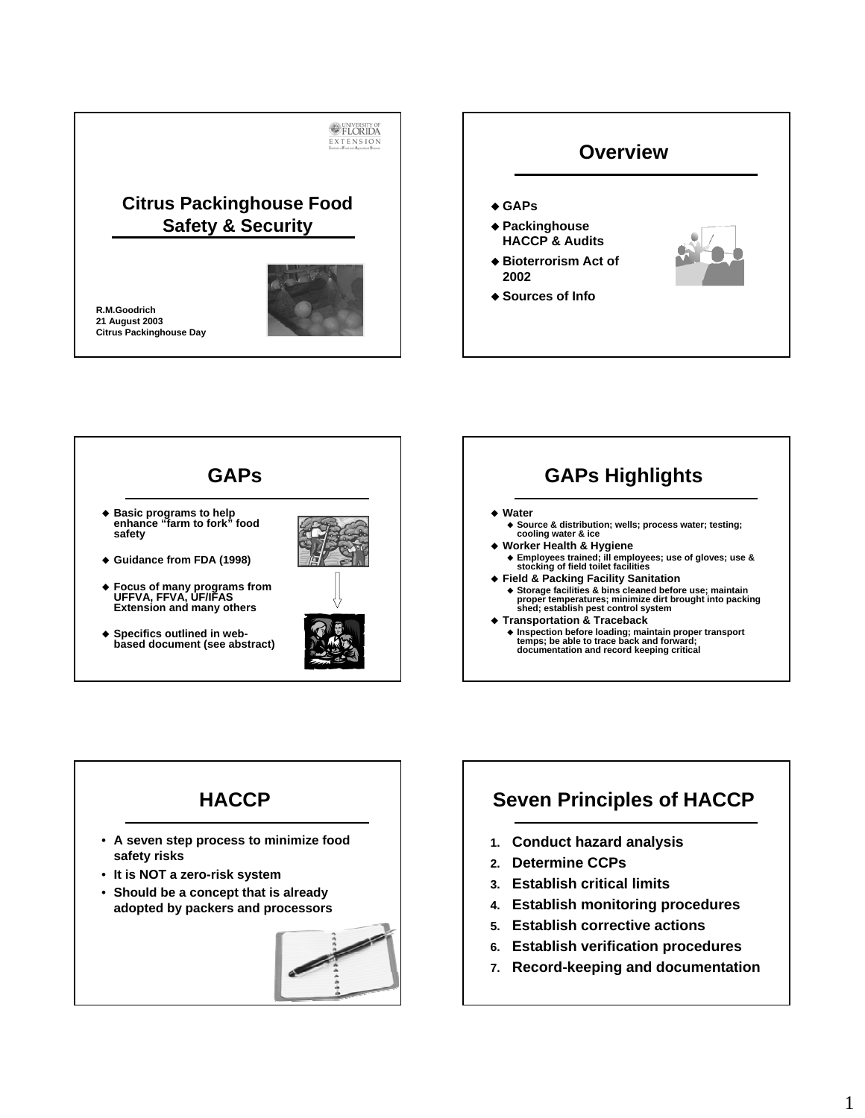





## **Seven Principles of HACCP**

- **1. Conduct hazard analysis**
- **2. Determine CCPs**
- **3. Establish critical limits**
- **4. Establish monitoring procedures**
- **5. Establish corrective actions**
- **6. Establish verification procedures**
- **7. Record-keeping and documentation**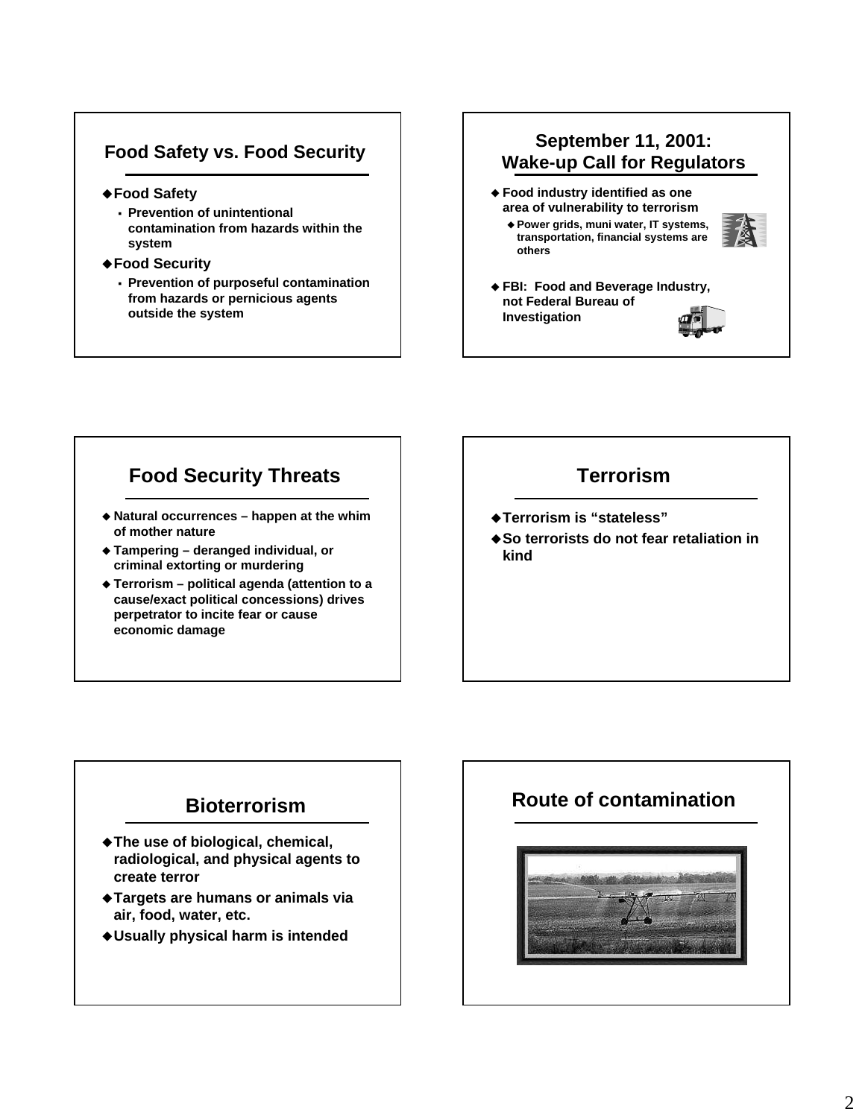#### **Food Safety vs. Food Security**

- **Food Safety**
	- **Prevention of unintentional contamination from hazards within the system**
- **Food Security**
	- **Prevention of purposeful contamination from hazards or pernicious agents outside the system**

#### **September 11, 2001: Wake-up Call for Regulators**

 **Food industry identified as one area of vulnerability to terrorism**

 **Power grids, muni water, IT systems, transportation, financial systems are others**



 **FBI: Food and Beverage Industry, not Federal Bureau of Investigation**



#### **Food Security Threats**

- **Natural occurrences happen at the whim of mother nature**
- **Tampering deranged individual, or criminal extorting or murdering**
- **Terrorism political agenda (attention to a cause/exact political concessions) drives perpetrator to incite fear or cause economic damage**

#### **Terrorism**

- **Terrorism is "stateless"**
- ◆ So terrorists do not fear retaliation in **kind**

#### **Bioterrorism**

- **The use of biological, chemical, radiological, and physical agents to create terror**
- **Targets are humans or animals via air, food, water, etc.**
- **Usually physical harm is intended**

#### **Route of contamination**

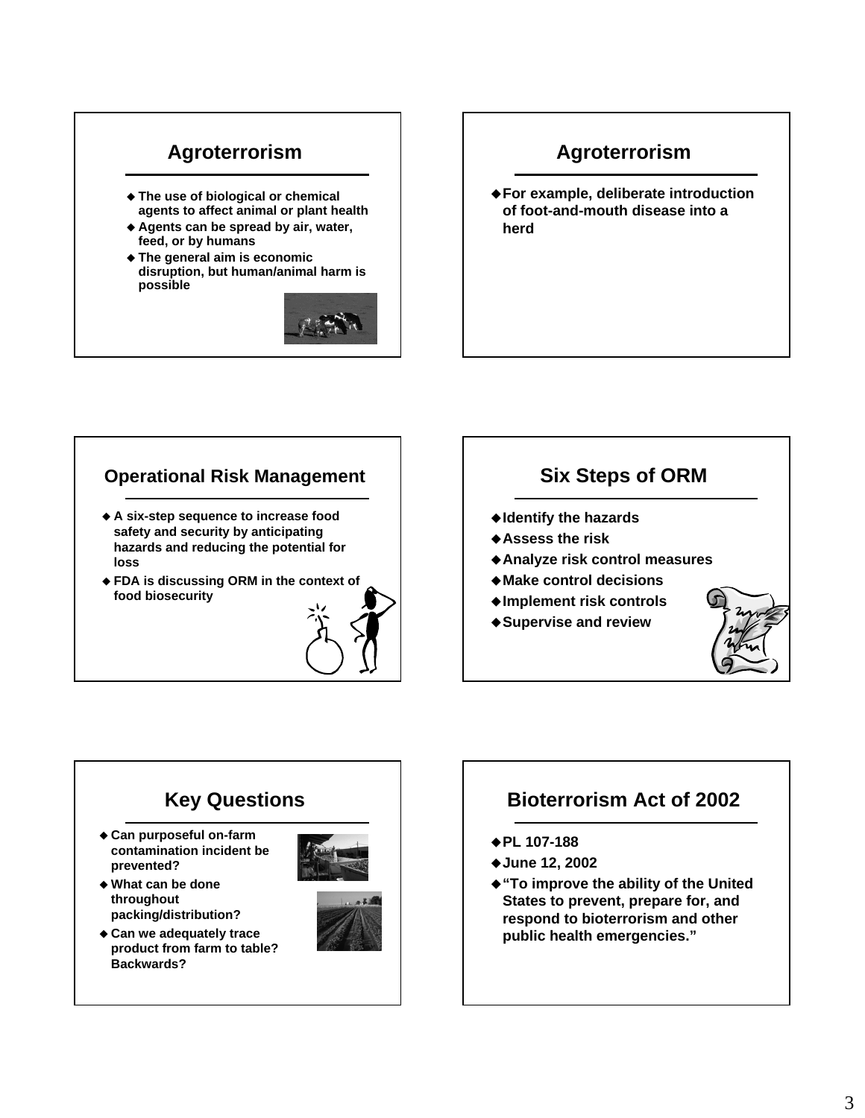# **Agroterrorism**

- **The use of biological or chemical agents to affect animal or plant health**
- **Agents can be spread by air, water, feed, or by humans**
- **The general aim is economic disruption, but human/animal harm is possible**



## **Agroterrorism**

**For example, deliberate introduction of foot-and-mouth disease into a herd**

#### **Operational Risk Management**

- **A six-step sequence to increase food safety and security by anticipating hazards and reducing the potential for loss**
- **FDA is discussing ORM in the context of food biosecurity**



### **Six Steps of ORM**

- **Identify the hazards**
- **Assess the risk**
- **Analyze risk control measures**
- **Make control decisions**
- **Implement risk controls**
- **Supervise and review**



#### **Key Questions Can purposeful on-farm contamination incident be prevented? What can be done throughout packing/distribution? Can we adequately trace product from farm to table? Backwards?**

## **Bioterrorism Act of 2002**

- **PL 107-188**
- **June 12, 2002**
- **"To improve the ability of the United States to prevent, prepare for, and respond to bioterrorism and other public health emergencies."**